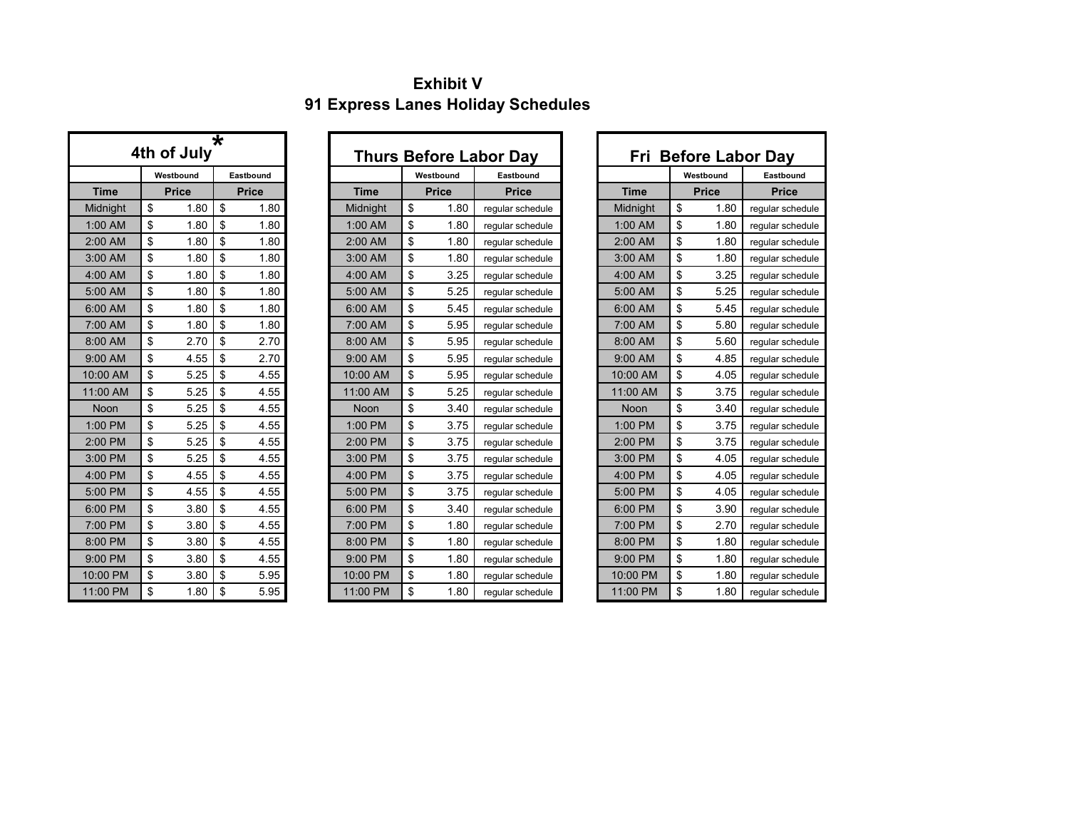## **Exhibit V 91 Express Lanes Holiday Schedules**

| ∗<br>4th of July |    |              |              |           |  |  |  |  |  |  |  |  |  |
|------------------|----|--------------|--------------|-----------|--|--|--|--|--|--|--|--|--|
|                  |    | Westbound    |              | Eastbound |  |  |  |  |  |  |  |  |  |
| <b>Time</b>      |    | <b>Price</b> | <b>Price</b> |           |  |  |  |  |  |  |  |  |  |
| Midnight         | \$ | 1.80         | \$           | 1.80      |  |  |  |  |  |  |  |  |  |
| 1:00 AM          | \$ | 1.80         | \$           | 1.80      |  |  |  |  |  |  |  |  |  |
| 2:00 AM          | \$ | 1.80         | \$           | 1.80      |  |  |  |  |  |  |  |  |  |
| 3:00 AM          | \$ | 1.80         | \$           | 1.80      |  |  |  |  |  |  |  |  |  |
| 4:00 AM          | \$ | 1.80         | \$           | 1.80      |  |  |  |  |  |  |  |  |  |
| 5:00 AM          | \$ | 1.80         | \$           | 1.80      |  |  |  |  |  |  |  |  |  |
| 6:00 AM          | \$ | 1.80         | \$           | 1.80      |  |  |  |  |  |  |  |  |  |
| 7:00 AM          | \$ | 1.80         | \$           | 1.80      |  |  |  |  |  |  |  |  |  |
| 8:00 AM          | \$ | 2.70         | \$           | 2.70      |  |  |  |  |  |  |  |  |  |
| 9:00 AM          | \$ | 4.55         | \$           | 2.70      |  |  |  |  |  |  |  |  |  |
| 10:00 AM         | \$ | 5.25         | \$           | 4.55      |  |  |  |  |  |  |  |  |  |
| 11:00 AM         | \$ | 5.25         | \$           | 4.55      |  |  |  |  |  |  |  |  |  |
| Noon             | \$ | 5.25         | \$           | 4.55      |  |  |  |  |  |  |  |  |  |
| 1:00 PM          | \$ | 5.25         | \$           | 4.55      |  |  |  |  |  |  |  |  |  |
| 2:00 PM          | \$ | 5.25         | \$           | 4.55      |  |  |  |  |  |  |  |  |  |
| 3:00 PM          | \$ | 5.25         | \$           | 4.55      |  |  |  |  |  |  |  |  |  |
| 4:00 PM          | \$ | 4.55         | \$           | 4.55      |  |  |  |  |  |  |  |  |  |
| 5:00 PM          | \$ | 4.55         | \$           | 4.55      |  |  |  |  |  |  |  |  |  |
| 6:00 PM          | \$ | 3.80         | \$           | 4.55      |  |  |  |  |  |  |  |  |  |
| 7:00 PM          | \$ | 3.80         | \$           | 4.55      |  |  |  |  |  |  |  |  |  |
| 8:00 PM          | \$ | 3.80         | \$           | 4.55      |  |  |  |  |  |  |  |  |  |
| 9:00 PM          | \$ | 3.80         | \$           | 4.55      |  |  |  |  |  |  |  |  |  |
| 10:00 PM         | \$ | 3.80         | \$           | 5.95      |  |  |  |  |  |  |  |  |  |
| 11:00 PM         | \$ | 1.80         | \$           | 5.95      |  |  |  |  |  |  |  |  |  |

|          | 4th of July  |              |             |              | <b>Thurs Before Labor Day</b> |
|----------|--------------|--------------|-------------|--------------|-------------------------------|
|          | Westbound    | Eastbound    |             | Westbound    | Eastbound                     |
| Time     | <b>Price</b> | <b>Price</b> | <b>Time</b> | <b>Price</b> | <b>Price</b>                  |
| lidnight | \$<br>1.80   | \$<br>1.80   | Midnight    | \$<br>1.80   | regular schedule              |
| :00 AM   | \$<br>1.80   | \$<br>1.80   | 1:00 AM     | \$<br>1.80   | regular schedule              |
| :00 AM   | \$<br>1.80   | \$<br>1.80   | 2:00 AM     | \$<br>1.80   | regular schedule              |
| :00 AM   | \$<br>1.80   | \$<br>1.80   | 3:00 AM     | \$<br>1.80   | regular schedule              |
| :00 AM   | \$<br>1.80   | \$<br>1.80   | 4:00 AM     | \$<br>3.25   | regular schedule              |
| :00 AM   | \$<br>1.80   | \$<br>1.80   | 5:00 AM     | \$<br>5.25   | reqular schedule              |
| :00 AM   | \$<br>1.80   | \$<br>1.80   | 6:00 AM     | \$<br>5.45   | reqular schedule              |
| :00 AM   | \$<br>1.80   | \$<br>1.80   | 7:00 AM     | \$<br>5.95   | regular schedule              |
| :00 AM   | \$<br>2.70   | \$<br>2.70   | 8:00 AM     | \$<br>5.95   | reqular schedule              |
| :00 AM   | \$<br>4.55   | \$<br>2.70   | 9:00 AM     | \$<br>5.95   | regular schedule              |
| :00 AM   | \$<br>5.25   | \$<br>4.55   | 10:00 AM    | \$<br>5.95   | regular schedule              |
| :00 AM   | \$<br>5.25   | \$<br>4.55   | 11:00 AM    | \$<br>5.25   | regular schedule              |
| Noon     | \$<br>5.25   | \$<br>4.55   | <b>Noon</b> | \$<br>3.40   | regular schedule              |
| :00 PM   | \$<br>5.25   | \$<br>4.55   | 1:00 PM     | \$<br>3.75   | regular schedule              |
| :00 PM   | \$<br>5.25   | \$<br>4.55   | 2:00 PM     | \$<br>3.75   | reqular schedule              |
| :00 PM   | \$<br>5.25   | \$<br>4.55   | 3:00 PM     | \$<br>3.75   | regular schedule              |
| :00 PM   | \$<br>4.55   | \$<br>4.55   | 4:00 PM     | \$<br>3.75   | regular schedule              |
| :00 PM   | \$<br>4.55   | \$<br>4.55   | 5:00 PM     | \$<br>3.75   | regular schedule              |
| :00 PM   | \$<br>3.80   | \$<br>4.55   | 6:00 PM     | \$<br>3.40   | regular schedule              |
| :00 PM   | \$<br>3.80   | \$<br>4.55   | 7:00 PM     | \$<br>1.80   | regular schedule              |
| :00 PM   | \$<br>3.80   | \$<br>4.55   | 8:00 PM     | \$<br>1.80   | regular schedule              |
| :00 PM   | \$<br>3.80   | \$<br>4.55   | 9:00 PM     | \$<br>1.80   | regular schedule              |
| 0:00 PM  | \$<br>3.80   | \$<br>5.95   | 10:00 PM    | \$<br>1.80   | reqular schedule              |
| :00 PM   | \$<br>1.80   | \$<br>5.95   | 11:00 PM    | \$<br>1.80   | reqular schedule              |

|             |                        | 4th of July  | $\star$ |              |             | <b>Thurs Before Labor Day</b> |                  |  | Fri Before Labor Day |              |
|-------------|------------------------|--------------|---------|--------------|-------------|-------------------------------|------------------|--|----------------------|--------------|
|             | Westbound<br>Eastbound |              |         |              |             | Westbound                     | Eastbound        |  |                      | Westbound    |
| <b>Time</b> |                        | <b>Price</b> |         | <b>Price</b> | <b>Time</b> | <b>Price</b>                  | <b>Price</b>     |  | <b>Time</b>          | <b>Price</b> |
| Midnight    | \$                     | 1.80         | \$      | 1.80         | Midnight    | \$<br>1.80                    | regular schedule |  | Midnight             | \$<br>1.80   |
| 1:00 AM     | \$                     | 1.80         | \$      | 1.80         | 1:00 AM     | \$<br>1.80                    | regular schedule |  | 1:00 AM              | \$<br>1.80   |
| 2:00 AM     | \$                     | 1.80         | \$      | 1.80         | 2:00 AM     | \$<br>1.80                    | reqular schedule |  | 2:00 AM              | \$<br>1.80   |
| 3:00 AM     | \$                     | 1.80         | \$      | 1.80         | 3:00 AM     | \$<br>1.80                    | reqular schedule |  | 3:00 AM              | \$<br>1.80   |
| 4:00 AM     | \$                     | 1.80         | \$      | 1.80         | 4:00 AM     | \$<br>3.25                    | regular schedule |  | 4:00 AM              | \$<br>3.25   |
| 5:00 AM     | \$                     | 1.80         | \$      | 1.80         | 5:00 AM     | \$<br>5.25                    | regular schedule |  | 5:00 AM              | \$<br>5.25   |
| 6:00 AM     | \$                     | 1.80         | \$      | 1.80         | 6:00 AM     | \$<br>5.45                    | reqular schedule |  | 6:00 AM              | \$<br>5.45   |
| 7:00 AM     | \$                     | 1.80         | \$      | 1.80         | 7:00 AM     | \$<br>5.95                    | reqular schedule |  | 7:00 AM              | \$<br>5.80   |
| 8:00 AM     | \$                     | 2.70         | \$      | 2.70         | 8:00 AM     | \$<br>5.95                    | reqular schedule |  | 8:00 AM              | \$<br>5.60   |
| 9:00 AM     | \$                     | 4.55         | \$      | 2.70         | 9:00 AM     | \$<br>5.95                    | reqular schedule |  | 9:00 AM              | \$<br>4.85   |
| 10:00 AM    | \$                     | 5.25         | \$      | 4.55         | 10:00 AM    | \$<br>5.95                    | reqular schedule |  | 10:00 AM             | \$<br>4.05   |
| 11:00 AM    | \$                     | 5.25         | \$      | 4.55         | 11:00 AM    | \$<br>5.25                    | regular schedule |  | 11:00 AM             | \$<br>3.75   |
| Noon        | \$                     | 5.25         | \$      | 4.55         | Noon        | \$<br>3.40                    | reqular schedule |  | Noon                 | \$<br>3.40   |
| 1:00 PM     | \$                     | 5.25         | \$      | 4.55         | 1:00 PM     | \$<br>3.75                    | reqular schedule |  | 1:00 PM              | \$<br>3.75   |
| 2:00 PM     | \$                     | 5.25         | \$      | 4.55         | 2:00 PM     | \$<br>3.75                    | reqular schedule |  | 2:00 PM              | \$<br>3.75   |
| 3:00 PM     | \$                     | 5.25         | \$      | 4.55         | 3:00 PM     | \$<br>3.75                    | reqular schedule |  | 3:00 PM              | \$<br>4.05   |
| 4:00 PM     | \$                     | 4.55         | \$      | 4.55         | 4:00 PM     | \$<br>3.75                    | reqular schedule |  | 4:00 PM              | \$<br>4.05   |
| 5:00 PM     | \$                     | 4.55         | \$      | 4.55         | 5:00 PM     | \$<br>3.75                    | reqular schedule |  | 5:00 PM              | \$<br>4.05   |
| 6:00 PM     | \$                     | 3.80         | \$      | 4.55         | 6:00 PM     | \$<br>3.40                    | reqular schedule |  | 6:00 PM              | \$<br>3.90   |
| 7:00 PM     | \$                     | 3.80         | \$      | 4.55         | 7:00 PM     | \$<br>1.80                    | reqular schedule |  | 7:00 PM              | \$<br>2.70   |
| 8:00 PM     | \$                     | 3.80         | \$      | 4.55         | 8:00 PM     | \$<br>1.80                    | reqular schedule |  | 8:00 PM              | \$<br>1.80   |
| 9:00 PM     | \$                     | 3.80         | \$      | 4.55         | 9:00 PM     | \$<br>1.80                    | reqular schedule |  | 9:00 PM              | \$<br>1.80   |
| 10:00 PM    | \$                     | 3.80         | \$      | 5.95         | 10:00 PM    | \$<br>1.80                    | reqular schedule |  | 10:00 PM             | \$<br>1.80   |
| 11:00 PM    | \$                     | 1.80         | \$      | 5.95         | 11:00 PM    | \$<br>1.80                    | reqular schedule |  | 11:00 PM             | \$<br>1.80   |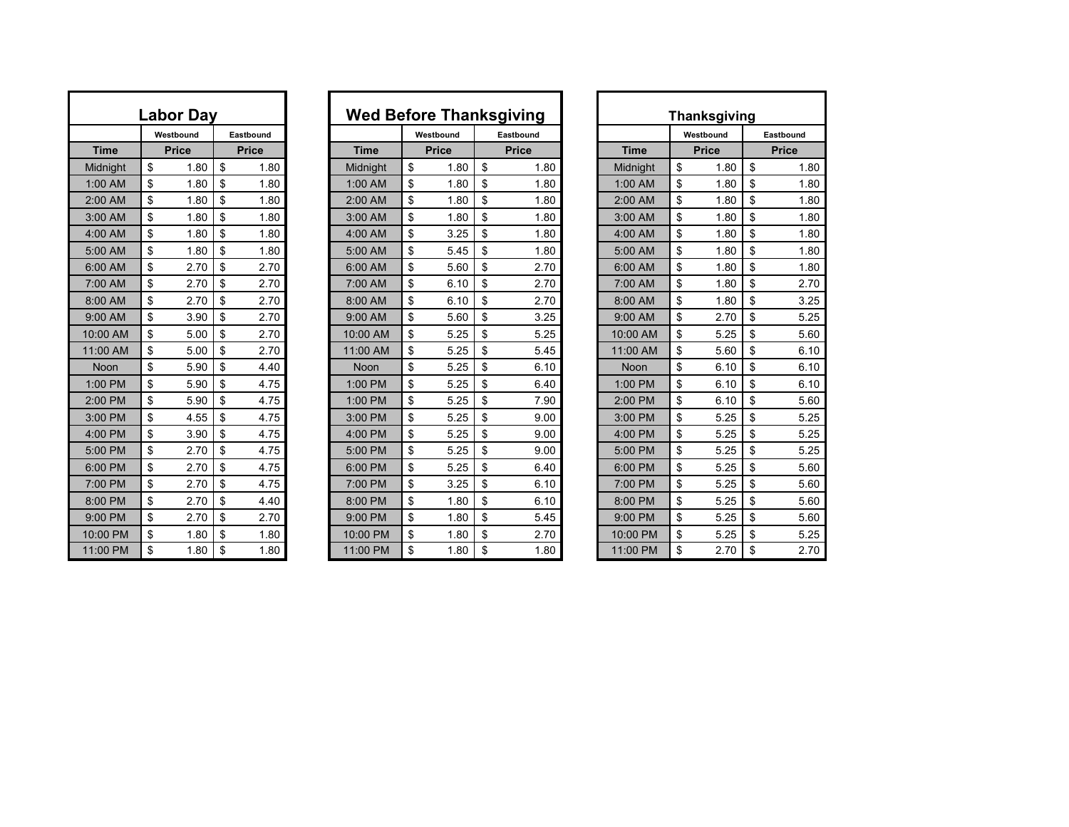| Labor Day              |    |              |    |              |  |  |  |  |  |  |  |  |  |  |
|------------------------|----|--------------|----|--------------|--|--|--|--|--|--|--|--|--|--|
| Westbound<br>Eastbound |    |              |    |              |  |  |  |  |  |  |  |  |  |  |
| <b>Time</b>            |    | <b>Price</b> |    | <b>Price</b> |  |  |  |  |  |  |  |  |  |  |
| Midnight               | \$ | 1.80         | \$ | 1.80         |  |  |  |  |  |  |  |  |  |  |
| 1:00 AM                | \$ | 1.80         | \$ | 1.80         |  |  |  |  |  |  |  |  |  |  |
| 2:00 AM                | \$ | 1.80         | \$ | 1.80         |  |  |  |  |  |  |  |  |  |  |
| 3:00 AM                | \$ | 1.80         | \$ | 1.80         |  |  |  |  |  |  |  |  |  |  |
| 4:00 AM                | \$ | 1.80         | \$ | 1.80         |  |  |  |  |  |  |  |  |  |  |
| 5:00 AM                | \$ | 1.80         | \$ | 1.80         |  |  |  |  |  |  |  |  |  |  |
| 6:00 AM                | \$ | 2.70         | \$ | 2.70         |  |  |  |  |  |  |  |  |  |  |
| 7:00 AM                | \$ | 2.70         | \$ | 2.70         |  |  |  |  |  |  |  |  |  |  |
| 8:00 AM                | \$ | 2.70         | \$ | 2.70         |  |  |  |  |  |  |  |  |  |  |
| 9:00 AM                | \$ | 3.90         | \$ | 2.70         |  |  |  |  |  |  |  |  |  |  |
| 10:00 AM               | \$ | 5.00         | \$ | 2.70         |  |  |  |  |  |  |  |  |  |  |
| 11:00 AM               | \$ | 5.00         | \$ | 2.70         |  |  |  |  |  |  |  |  |  |  |
| Noon                   | \$ | 5.90         | \$ | 4.40         |  |  |  |  |  |  |  |  |  |  |
| 1:00 PM                | \$ | 5.90         | \$ | 4.75         |  |  |  |  |  |  |  |  |  |  |
| 2:00 PM                | \$ | 5.90         | \$ | 4.75         |  |  |  |  |  |  |  |  |  |  |
| 3:00 PM                | \$ | 4.55         | \$ | 4.75         |  |  |  |  |  |  |  |  |  |  |
| 4:00 PM                | \$ | 3.90         | \$ | 4.75         |  |  |  |  |  |  |  |  |  |  |
| 5:00 PM                | \$ | 2.70         | \$ | 4.75         |  |  |  |  |  |  |  |  |  |  |
| 6:00 PM                | \$ | 2.70         | \$ | 4.75         |  |  |  |  |  |  |  |  |  |  |
| 7:00 PM                | \$ | 2.70         | \$ | 4.75         |  |  |  |  |  |  |  |  |  |  |
| 8:00 PM                | \$ | 2.70         | \$ | 4.40         |  |  |  |  |  |  |  |  |  |  |
| 9:00 PM                | \$ | 2.70         | \$ | 2.70         |  |  |  |  |  |  |  |  |  |  |
| 10:00 PM               | \$ | 1.80         | \$ | 1.80         |  |  |  |  |  |  |  |  |  |  |
| 11:00 PM               | \$ | 1.80         | \$ | 1.80         |  |  |  |  |  |  |  |  |  |  |

|             |                        | <b>Labor Day</b> |    |              | <b>Wed Before Thanksgiving</b> |              |              |      |             |              | <b>Thanksgiving</b> |              |      |
|-------------|------------------------|------------------|----|--------------|--------------------------------|--------------|--------------|------|-------------|--------------|---------------------|--------------|------|
|             | Westbound<br>Eastbound |                  |    |              | Westbound                      |              | Eastbound    |      |             | Westbound    |                     | Eastbound    |      |
| <b>Time</b> |                        | <b>Price</b>     |    | <b>Price</b> | <b>Time</b>                    | <b>Price</b> | <b>Price</b> |      | <b>Time</b> | <b>Price</b> |                     | <b>Price</b> |      |
| Midnight    | \$                     | 1.80             | \$ | 1.80         | Midnight                       | \$<br>1.80   | \$           | 1.80 | Midnight    | \$           | 1.80                | \$           | 1.80 |
| 1:00 AM     | \$                     | 1.80             | \$ | 1.80         | 1:00 AM                        | \$<br>1.80   | \$           | 1.80 | 1:00 AM     | \$           | 1.80                | \$           | 1.80 |
| 2:00 AM     | \$                     | 1.80             | \$ | 1.80         | 2:00 AM                        | \$<br>1.80   | \$           | 1.80 | 2:00 AM     | \$           | 1.80                | \$           | 1.80 |
| 3:00 AM     | \$                     | 1.80             | \$ | 1.80         | 3:00 AM                        | \$<br>1.80   | \$           | 1.80 | 3:00 AM     | \$           | 1.80                | \$           | 1.80 |
| 4:00 AM     | \$                     | 1.80             | \$ | 1.80         | 4:00 AM                        | \$<br>3.25   | \$           | 1.80 | 4:00 AM     | \$           | 1.80                | \$           | 1.80 |
| 5:00 AM     | \$                     | 1.80             | \$ | 1.80         | 5:00 AM                        | \$<br>5.45   | \$           | 1.80 | 5:00 AM     | \$           | 1.80                | \$           | 1.80 |
| 6:00 AM     | \$                     | 2.70             | \$ | 2.70         | 6:00 AM                        | \$<br>5.60   | \$           | 2.70 | 6:00 AM     | \$           | 1.80                | \$           | 1.80 |
| 7:00 AM     | \$                     | 2.70             | \$ | 2.70         | 7:00 AM                        | \$<br>6.10   | \$           | 2.70 | 7:00 AM     | \$           | 1.80                | \$           | 2.70 |
| 8:00 AM     | \$                     | 2.70             | \$ | 2.70         | 8:00 AM                        | \$<br>6.10   | \$           | 2.70 | 8:00 AM     | \$           | 1.80                | \$           | 3.25 |
| 9:00 AM     | \$                     | 3.90             | \$ | 2.70         | 9:00 AM                        | \$<br>5.60   | \$           | 3.25 | 9:00 AM     | \$           | 2.70                | \$           | 5.25 |
| 10:00 AM    | \$                     | 5.00             | \$ | 2.70         | 10:00 AM                       | \$<br>5.25   | \$           | 5.25 | 10:00 AM    | \$           | 5.25                | \$           | 5.60 |
| 11:00 AM    | \$                     | 5.00             | \$ | 2.70         | 11:00 AM                       | \$<br>5.25   | \$           | 5.45 | 11:00 AM    | \$           | 5.60                | \$           | 6.10 |
| Noon        | \$                     | 5.90             | \$ | 4.40         | Noon                           | \$<br>5.25   | \$           | 6.10 | <b>Noon</b> | \$           | 6.10                | \$           | 6.10 |
| 1:00 PM     | \$                     | 5.90             | \$ | 4.75         | 1:00 PM                        | \$<br>5.25   | \$           | 6.40 | 1:00 PM     | \$           | 6.10                | \$           | 6.10 |
| 2:00 PM     | \$                     | 5.90             | \$ | 4.75         | 1:00 PM                        | \$<br>5.25   | \$           | 7.90 | 2:00 PM     | \$           | 6.10                | \$           | 5.60 |
| 3:00 PM     | \$                     | 4.55             | \$ | 4.75         | $3:00$ PM                      | \$<br>5.25   | \$           | 9.00 | $3:00$ PM   | \$           | 5.25                | \$           | 5.25 |
| 4:00 PM     | \$                     | 3.90             | \$ | 4.75         | 4:00 PM                        | \$<br>5.25   | \$           | 9.00 | 4:00 PM     | \$           | 5.25                | \$           | 5.25 |
| 5:00 PM     | \$                     | 2.70             | \$ | 4.75         | 5:00 PM                        | \$<br>5.25   | \$           | 9.00 | 5:00 PM     | \$           | 5.25                | \$           | 5.25 |
| 6:00 PM     | \$                     | 2.70             | \$ | 4.75         | 6:00 PM                        | \$<br>5.25   | \$           | 6.40 | 6:00 PM     | \$           | 5.25                | \$           | 5.60 |
| 7:00 PM     | \$                     | 2.70             | \$ | 4.75         | 7:00 PM                        | \$<br>3.25   | \$           | 6.10 | 7:00 PM     | \$           | 5.25                | \$           | 5.60 |
| 8:00 PM     | \$                     | 2.70             | \$ | 4.40         | 8:00 PM                        | \$<br>1.80   | \$           | 6.10 | 8:00 PM     | \$           | 5.25                | \$           | 5.60 |
| 9:00 PM     | \$                     | 2.70             | \$ | 2.70         | 9:00 PM                        | \$<br>1.80   | \$           | 5.45 | 9:00 PM     | \$           | 5.25                | \$           | 5.60 |
| 10:00 PM    | \$                     | 1.80             | \$ | 1.80         | 10:00 PM                       | \$<br>1.80   | \$           | 2.70 | 10:00 PM    | \$           | 5.25                | \$           | 5.25 |
| 11:00 PM    | \$                     | 1.80             | \$ | 1.80         | 11:00 PM                       | \$<br>1.80   | \$           | 1.80 | 11:00 PM    | \$           | 2.70                | \$           | 2.70 |

| Thanksgiving           |    |              |              |      |  |  |  |  |  |  |  |  |  |  |
|------------------------|----|--------------|--------------|------|--|--|--|--|--|--|--|--|--|--|
| Westbound<br>Eastbound |    |              |              |      |  |  |  |  |  |  |  |  |  |  |
| <b>Time</b>            |    | <b>Price</b> | <b>Price</b> |      |  |  |  |  |  |  |  |  |  |  |
| Midnight               | \$ | 1.80         | \$           | 1.80 |  |  |  |  |  |  |  |  |  |  |
| 1:00 AM                | \$ | 1.80         | \$           | 1.80 |  |  |  |  |  |  |  |  |  |  |
| 2:00 AM                | \$ | 1.80         | \$           | 1.80 |  |  |  |  |  |  |  |  |  |  |
| 3:00 AM                | \$ | 1.80         | \$           | 1.80 |  |  |  |  |  |  |  |  |  |  |
| 4:00 AM                | \$ | 1.80         | \$           | 1.80 |  |  |  |  |  |  |  |  |  |  |
| 5:00 AM                | \$ | 1.80         | \$           | 1.80 |  |  |  |  |  |  |  |  |  |  |
| 6:00 AM                | \$ | 1.80         | \$           | 1.80 |  |  |  |  |  |  |  |  |  |  |
| 7:00 AM                | \$ | 1.80         | \$           | 2.70 |  |  |  |  |  |  |  |  |  |  |
| 8:00 AM                | \$ | 1.80         | \$           | 3.25 |  |  |  |  |  |  |  |  |  |  |
| 9:00 AM                | \$ | 2.70         | \$           | 5.25 |  |  |  |  |  |  |  |  |  |  |
| 10:00 AM               | \$ | 5.25         | \$           | 5.60 |  |  |  |  |  |  |  |  |  |  |
| 11:00 AM               | \$ | 5.60         | \$           | 6.10 |  |  |  |  |  |  |  |  |  |  |
| Noon                   | \$ | 6.10         | \$           | 6.10 |  |  |  |  |  |  |  |  |  |  |
| 1:00 PM                | \$ | 6.10         | \$           | 6.10 |  |  |  |  |  |  |  |  |  |  |
| 2:00 PM                | \$ | 6.10         | \$           | 5.60 |  |  |  |  |  |  |  |  |  |  |
| 3:00 PM                | \$ | 5.25         | \$           | 5.25 |  |  |  |  |  |  |  |  |  |  |
| 4:00 PM                | \$ | 5.25         | \$           | 5.25 |  |  |  |  |  |  |  |  |  |  |
| 5:00 PM                | \$ | 5.25         | \$           | 5.25 |  |  |  |  |  |  |  |  |  |  |
| 6:00 PM                | \$ | 5.25         | \$           | 5.60 |  |  |  |  |  |  |  |  |  |  |
| 7:00 PM                | \$ | 5.25         | \$           | 5.60 |  |  |  |  |  |  |  |  |  |  |
| 8:00 PM                | \$ | 5.25         | \$           | 5.60 |  |  |  |  |  |  |  |  |  |  |
| 9:00 PM                | \$ | 5.25         | \$           | 5.60 |  |  |  |  |  |  |  |  |  |  |
| 10:00 PM               | \$ | 5.25         | \$           | 5.25 |  |  |  |  |  |  |  |  |  |  |
| 11:00 PM               | \$ | 2.70         | \$           | 2.70 |  |  |  |  |  |  |  |  |  |  |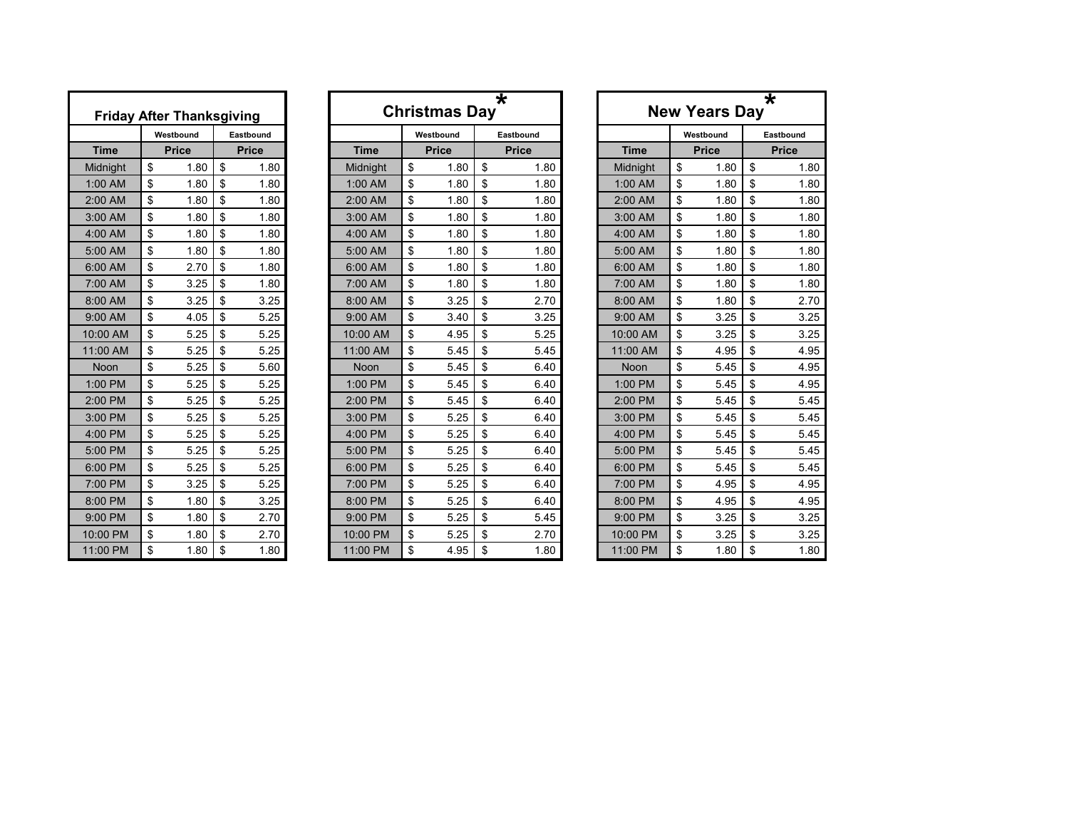|             | <b>Friday After Thanksgiving</b> |              |
|-------------|----------------------------------|--------------|
|             | Westbound                        | Eastbound    |
| <b>Time</b> | <b>Price</b>                     | <b>Price</b> |
| Midnight    | \$<br>1.80                       | \$<br>1.80   |
| 1:00 AM     | \$<br>1.80                       | \$<br>1.80   |
| 2:00 AM     | \$<br>1.80                       | \$<br>1.80   |
| 3:00 AM     | \$<br>1.80                       | \$<br>1.80   |
| 4:00 AM     | \$<br>1.80                       | \$<br>1.80   |
| 5:00 AM     | \$<br>1.80                       | \$<br>1.80   |
| 6:00 AM     | \$<br>2.70                       | \$<br>1.80   |
| 7:00 AM     | \$<br>3.25                       | \$<br>1.80   |
| 8:00 AM     | \$<br>3.25                       | \$<br>3.25   |
| 9:00 AM     | \$<br>4.05                       | \$<br>5.25   |
| 10:00 AM    | \$<br>5.25                       | \$<br>5.25   |
| 11:00 AM    | \$<br>5.25                       | \$<br>5.25   |
| Noon        | \$<br>5.25                       | \$<br>5.60   |
| 1:00 PM     | \$<br>5.25                       | \$<br>5.25   |
| 2:00 PM     | \$<br>5.25                       | \$<br>5.25   |
| 3:00 PM     | \$<br>5.25                       | \$<br>5.25   |
| 4:00 PM     | \$<br>5.25                       | \$<br>5.25   |
| 5:00 PM     | \$<br>5.25                       | \$<br>5.25   |
| 6:00 PM     | \$<br>5.25                       | \$<br>5.25   |
| 7:00 PM     | \$<br>3.25                       | \$<br>5.25   |
| 8:00 PM     | \$<br>1.80                       | \$<br>3.25   |
| 9:00 PM     | \$<br>1.80                       | \$<br>2.70   |
| 10:00 PM    | \$<br>1.80                       | \$<br>2.70   |
| 11:00 PM    | \$<br>1.80                       | \$<br>1.80   |

| <b>Friday After Thanksgiving</b> |              |           |              |      |             | <b>Christmas Day</b> | $\overline{\textbf{\texttt{x}}}$ |             | ★<br><b>New Years Day</b> |              |    |              |  |  |
|----------------------------------|--------------|-----------|--------------|------|-------------|----------------------|----------------------------------|-------------|---------------------------|--------------|----|--------------|--|--|
|                                  |              | Westbound | Eastbound    |      |             | Westbound            | Eastbound                        |             |                           | Westbound    |    | Eastbound    |  |  |
| <b>Time</b>                      | <b>Price</b> |           | <b>Price</b> |      | <b>Time</b> | <b>Price</b>         | <b>Price</b>                     | <b>Time</b> |                           | <b>Price</b> |    | <b>Price</b> |  |  |
| Midnight                         | \$           | 1.80      | \$           | 1.80 | Midnight    | \$<br>1.80           | \$<br>1.80                       | Midnight    | \$                        | 1.80         | \$ | 1.80         |  |  |
| 1:00 AM                          | \$           | 1.80      | \$           | 1.80 | 1:00 AM     | \$<br>1.80           | \$<br>1.80                       | 1:00 AM     | \$                        | 1.80         | \$ | 1.80         |  |  |
| 2:00 AM                          | \$           | 1.80      | \$           | 1.80 | 2:00 AM     | \$<br>1.80           | \$<br>1.80                       | 2:00 AM     | \$                        | 1.80         | \$ | 1.80         |  |  |
| 3:00 AM                          | \$           | 1.80      | \$           | 1.80 | 3:00 AM     | \$<br>1.80           | \$<br>1.80                       | 3:00 AM     | \$                        | 1.80         | \$ | 1.80         |  |  |
| 4:00 AM                          | \$           | 1.80      | \$           | 1.80 | 4:00 AM     | \$<br>1.80           | \$<br>1.80                       | 4:00 AM     | \$                        | 1.80         | \$ | 1.80         |  |  |
| 5:00 AM                          | \$           | 1.80      | \$           | 1.80 | 5:00 AM     | \$<br>1.80           | \$<br>1.80                       | 5:00 AM     | \$                        | 1.80         | \$ | 1.80         |  |  |
| 6:00 AM                          | \$           | 2.70      | \$           | 1.80 | 6:00 AM     | \$<br>1.80           | \$<br>1.80                       | 6:00 AM     | \$                        | 1.80         | \$ | 1.80         |  |  |
| 7:00 AM                          | \$           | 3.25      | \$           | 1.80 | 7:00 AM     | \$<br>1.80           | \$<br>1.80                       | 7:00 AM     | \$                        | 1.80         | \$ | 1.80         |  |  |
| 8:00 AM                          | \$           | 3.25      | \$           | 3.25 | 8:00 AM     | \$<br>3.25           | \$<br>2.70                       | 8:00 AM     | \$                        | 1.80         | \$ | 2.70         |  |  |
| 9:00 AM                          | \$           | 4.05      | \$           | 5.25 | 9:00 AM     | \$<br>3.40           | \$<br>3.25                       | 9:00 AM     | \$                        | 3.25         | \$ | 3.25         |  |  |
| 10:00 AM                         | \$           | 5.25      | \$           | 5.25 | 10:00 AM    | \$<br>4.95           | \$<br>5.25                       | 10:00 AM    | \$                        | 3.25         | \$ | 3.25         |  |  |
| 11:00 AM                         | \$           | 5.25      | \$           | 5.25 | 11:00 AM    | \$<br>5.45           | \$<br>5.45                       | 11:00 AM    | \$                        | 4.95         | \$ | 4.95         |  |  |
| <b>Noon</b>                      | \$           | 5.25      | \$           | 5.60 | Noon        | \$<br>5.45           | \$<br>6.40                       | <b>Noon</b> | \$                        | 5.45         | \$ | 4.95         |  |  |
| 1:00 PM                          | \$           | 5.25      | \$           | 5.25 | 1:00 PM     | \$<br>5.45           | \$<br>6.40                       | 1:00 PM     | \$                        | 5.45         | \$ | 4.95         |  |  |
| 2:00 PM                          | \$           | 5.25      | \$           | 5.25 | 2:00 PM     | \$<br>5.45           | \$<br>6.40                       | 2:00 PM     | \$                        | 5.45         | \$ | 5.45         |  |  |
| 3:00 PM                          | \$           | 5.25      | \$           | 5.25 | 3:00 PM     | \$<br>5.25           | \$<br>6.40                       | 3:00 PM     | \$                        | 5.45         | \$ | 5.45         |  |  |
| 4:00 PM                          | \$           | 5.25      | \$           | 5.25 | 4:00 PM     | \$<br>5.25           | \$<br>6.40                       | 4:00 PM     | \$                        | 5.45         | \$ | 5.45         |  |  |
| 5:00 PM                          | \$           | 5.25      | \$           | 5.25 | 5:00 PM     | \$<br>5.25           | \$<br>6.40                       | 5:00 PM     | \$                        | 5.45         | \$ | 5.45         |  |  |
| 6:00 PM                          | \$           | 5.25      | \$           | 5.25 | 6:00 PM     | \$<br>5.25           | \$<br>6.40                       | 6:00 PM     | \$                        | 5.45         | \$ | 5.45         |  |  |
| 7:00 PM                          | \$           | 3.25      | \$           | 5.25 | 7:00 PM     | \$<br>5.25           | \$<br>6.40                       | 7:00 PM     | \$                        | 4.95         | \$ | 4.95         |  |  |
| 8:00 PM                          | \$           | 1.80      | \$           | 3.25 | 8:00 PM     | \$<br>5.25           | \$<br>6.40                       | 8:00 PM     | \$                        | 4.95         | \$ | 4.95         |  |  |
| 9:00 PM                          | \$           | 1.80      | \$           | 2.70 | 9:00 PM     | \$<br>5.25           | \$<br>5.45                       | 9:00 PM     | \$                        | 3.25         | \$ | 3.25         |  |  |
| 10:00 PM                         | \$           | 1.80      | \$           | 2.70 | 10:00 PM    | \$<br>5.25           | \$<br>2.70                       | 10:00 PM    | \$                        | 3.25         | \$ | 3.25         |  |  |
| 11:00 PM                         | \$           | 1.80      | \$           | 1.80 | 11:00 PM    | \$<br>4.95           | \$<br>1.80                       | 11:00 PM    | \$                        | 1.80         | \$ | 1.80         |  |  |

|             | ∗<br><b>New Years Day</b> |              |  |  |  |  |  |  |  |  |  |  |  |  |
|-------------|---------------------------|--------------|--|--|--|--|--|--|--|--|--|--|--|--|
|             | Westbound                 | Eastbound    |  |  |  |  |  |  |  |  |  |  |  |  |
| <b>Time</b> | <b>Price</b>              | <b>Price</b> |  |  |  |  |  |  |  |  |  |  |  |  |
| Midnight    | \$<br>1.80                | \$<br>1.80   |  |  |  |  |  |  |  |  |  |  |  |  |
| 1:00 AM     | \$<br>1.80                | \$<br>1.80   |  |  |  |  |  |  |  |  |  |  |  |  |
| 2:00 AM     | \$<br>1.80                | \$<br>1.80   |  |  |  |  |  |  |  |  |  |  |  |  |
| 3:00 AM     | \$<br>1.80                | \$<br>1.80   |  |  |  |  |  |  |  |  |  |  |  |  |
| 4:00 AM     | \$<br>1.80                | \$<br>1.80   |  |  |  |  |  |  |  |  |  |  |  |  |
| 5:00 AM     | \$<br>1.80                | \$<br>1.80   |  |  |  |  |  |  |  |  |  |  |  |  |
| 6:00 AM     | \$<br>1.80                | \$<br>1.80   |  |  |  |  |  |  |  |  |  |  |  |  |
| 7:00 AM     | \$<br>1.80                | \$<br>1.80   |  |  |  |  |  |  |  |  |  |  |  |  |
| 8:00 AM     | \$<br>1.80                | \$<br>2.70   |  |  |  |  |  |  |  |  |  |  |  |  |
| 9:00 AM     | \$<br>3.25                | \$<br>3.25   |  |  |  |  |  |  |  |  |  |  |  |  |
| 10:00 AM    | \$<br>3.25                | \$<br>3.25   |  |  |  |  |  |  |  |  |  |  |  |  |
| 11:00 AM    | \$<br>4.95                | \$<br>4.95   |  |  |  |  |  |  |  |  |  |  |  |  |
| Noon        | \$<br>5.45                | \$<br>4.95   |  |  |  |  |  |  |  |  |  |  |  |  |
| 1:00 PM     | \$<br>5.45                | \$<br>4.95   |  |  |  |  |  |  |  |  |  |  |  |  |
| 2:00 PM     | \$<br>5.45                | \$<br>5.45   |  |  |  |  |  |  |  |  |  |  |  |  |
| 3:00 PM     | \$<br>5.45                | \$<br>5.45   |  |  |  |  |  |  |  |  |  |  |  |  |
| 4:00 PM     | \$<br>5.45                | \$<br>5.45   |  |  |  |  |  |  |  |  |  |  |  |  |
| 5:00 PM     | \$<br>5.45                | \$<br>5.45   |  |  |  |  |  |  |  |  |  |  |  |  |
| 6:00 PM     | \$<br>5.45                | \$<br>5.45   |  |  |  |  |  |  |  |  |  |  |  |  |
| 7:00 PM     | \$<br>4.95                | \$<br>4.95   |  |  |  |  |  |  |  |  |  |  |  |  |
| 8:00 PM     | \$<br>4.95                | \$<br>4.95   |  |  |  |  |  |  |  |  |  |  |  |  |
| 9:00 PM     | \$<br>3.25                | \$<br>3.25   |  |  |  |  |  |  |  |  |  |  |  |  |
| 10:00 PM    | \$<br>3.25                | \$<br>3.25   |  |  |  |  |  |  |  |  |  |  |  |  |
| 11:00 PM    | \$<br>1.80                | \$<br>1.80   |  |  |  |  |  |  |  |  |  |  |  |  |